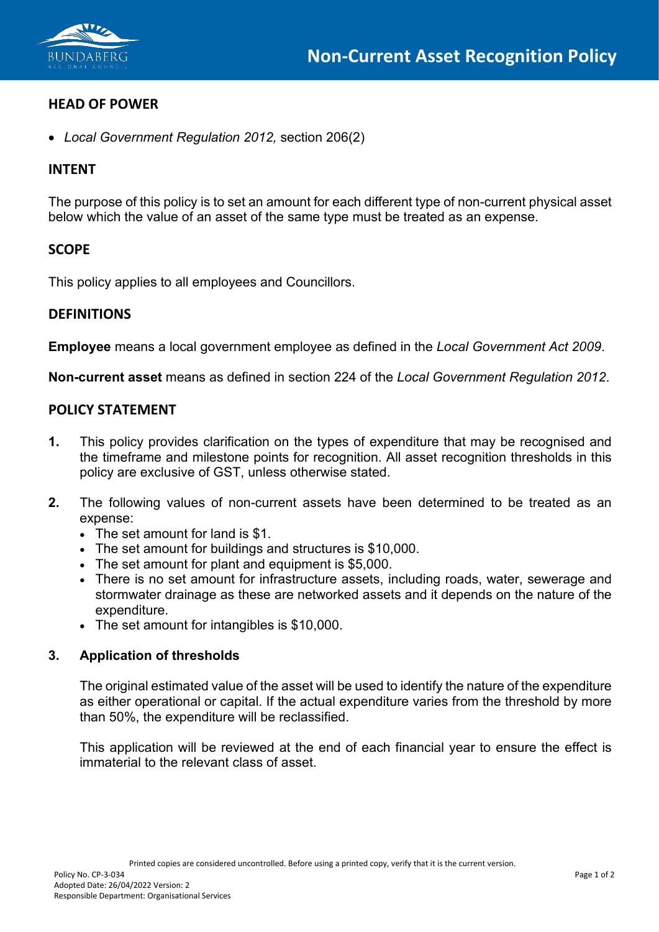

# **HEAD OF POWER**

• *Local Government Regulation 2012,* section 206(2)

### **INTENT**

The purpose of this policy is to set an amount for each different type of non-current physical asset below which the value of an asset of the same type must be treated as an expense.

### **SCOPE**

This policy applies to all employees and Councillors.

### **DEFINITIONS**

**Employee** means a local government employee as defined in the *Local Government Act 2009*.

**Non-current asset** means as defined in section 224 of the *Local Government Regulation 2012*.

### **POLICY STATEMENT**

- **1.** This policy provides clarification on the types of expenditure that may be recognised and the timeframe and milestone points for recognition. All asset recognition thresholds in this policy are exclusive of GST, unless otherwise stated.
- **2.** The following values of non-current assets have been determined to be treated as an expense:
	- The set amount for land is \$1.
	- The set amount for buildings and structures is \$10,000.
	- The set amount for plant and equipment is \$5,000.
	- There is no set amount for infrastructure assets, including roads, water, sewerage and stormwater drainage as these are networked assets and it depends on the nature of the expenditure.
	- The set amount for intangibles is \$10,000.

#### **3. Application of thresholds**

The original estimated value of the asset will be used to identify the nature of the expenditure as either operational or capital. If the actual expenditure varies from the threshold by more than 50%, the expenditure will be reclassified.

This application will be reviewed at the end of each financial year to ensure the effect is immaterial to the relevant class of asset.

Printed copies are considered uncontrolled. Before using a printed copy, verify that it is the current version.